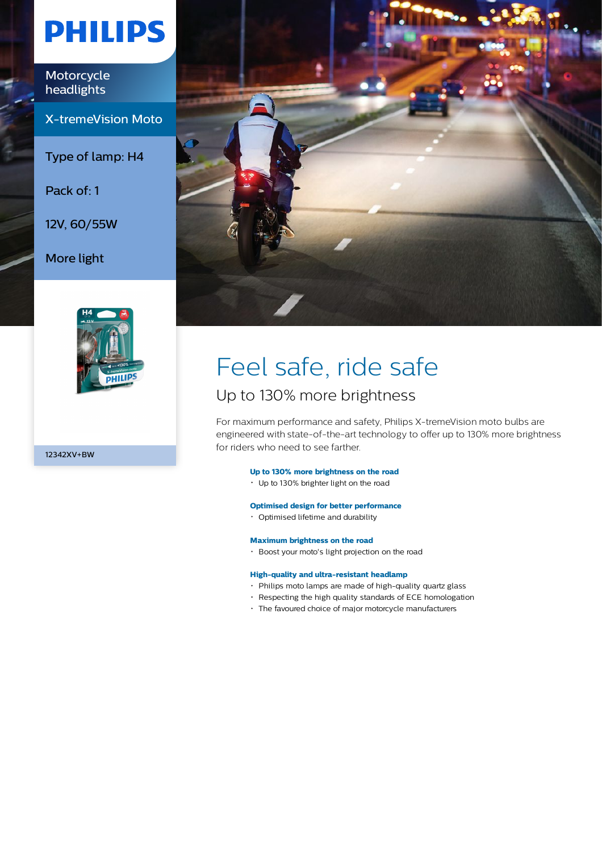# **PHILIPS**

Motorcycle headlights

X-tremeVision Moto

Type of lamp: H4

Pack of: 1

12V, 60/55W

More light



12342XV+BW



# Feel safe, ride safe

### Up to 130% more brightness

For maximum performance and safety, Philips X-tremeVision moto bulbs are engineered with state-of-the-art technology to offer up to 130% more brightness for riders who need to see farther.

### **Up to 130% more brightness on the road**

Up to 130% brighter light on the road

### **Optimised design for better performance**

Optimised lifetime and durability

#### **Maximum brightness on the road**

Boost your moto's light projection on the road

#### **High-quality and ultra-resistant headlamp**

- Philips moto lamps are made of high-quality quartz glass
- Respecting the high quality standards of ECE homologation
- The favoured choice of major motorcycle manufacturers